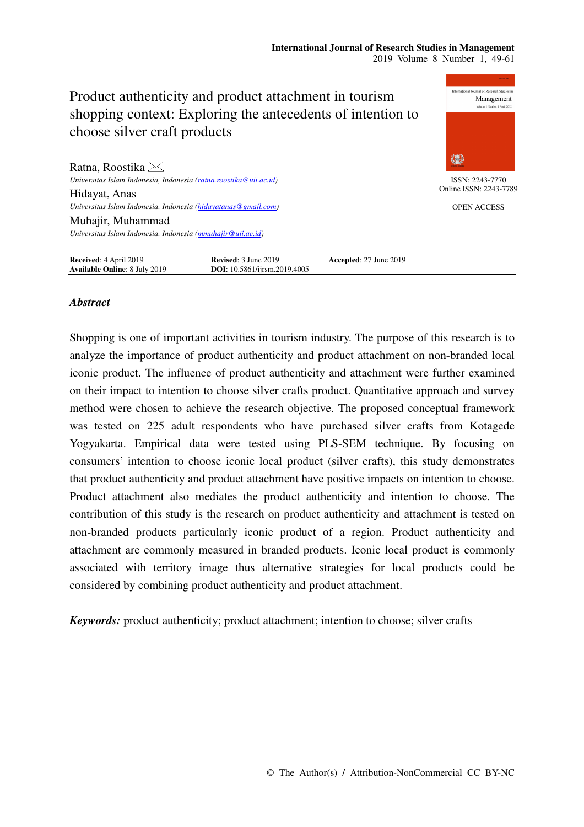#### **International Journal of Research Studies in Management**  2019 Volume 8 Number 1, 49-61



## *Abstract*

Shopping is one of important activities in tourism industry. The purpose of this research is to analyze the importance of product authenticity and product attachment on non-branded local iconic product. The influence of product authenticity and attachment were further examined on their impact to intention to choose silver crafts product. Quantitative approach and survey method were chosen to achieve the research objective. The proposed conceptual framework was tested on 225 adult respondents who have purchased silver crafts from Kotagede Yogyakarta. Empirical data were tested using PLS-SEM technique. By focusing on consumers' intention to choose iconic local product (silver crafts), this study demonstrates that product authenticity and product attachment have positive impacts on intention to choose. Product attachment also mediates the product authenticity and intention to choose. The contribution of this study is the research on product authenticity and attachment is tested on non-branded products particularly iconic product of a region. Product authenticity and attachment are commonly measured in branded products. Iconic local product is commonly associated with territory image thus alternative strategies for local products could be considered by combining product authenticity and product attachment.

*Keywords:* product authenticity; product attachment; intention to choose; silver crafts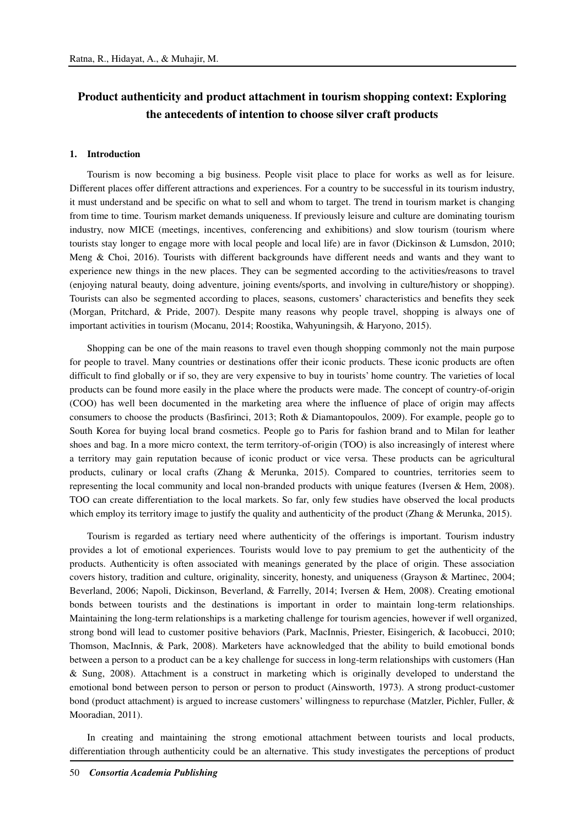# **Product authenticity and product attachment in tourism shopping context: Exploring the antecedents of intention to choose silver craft products**

#### **1. Introduction**

Tourism is now becoming a big business. People visit place to place for works as well as for leisure. Different places offer different attractions and experiences. For a country to be successful in its tourism industry, it must understand and be specific on what to sell and whom to target. The trend in tourism market is changing from time to time. Tourism market demands uniqueness. If previously leisure and culture are dominating tourism industry, now MICE (meetings, incentives, conferencing and exhibitions) and slow tourism (tourism where tourists stay longer to engage more with local people and local life) are in favor (Dickinson & Lumsdon, 2010; Meng & Choi, 2016). Tourists with different backgrounds have different needs and wants and they want to experience new things in the new places. They can be segmented according to the activities/reasons to travel (enjoying natural beauty, doing adventure, joining events/sports, and involving in culture/history or shopping). Tourists can also be segmented according to places, seasons, customers' characteristics and benefits they seek (Morgan, Pritchard, & Pride, 2007). Despite many reasons why people travel, shopping is always one of important activities in tourism (Mocanu, 2014; Roostika, Wahyuningsih, & Haryono, 2015).

Shopping can be one of the main reasons to travel even though shopping commonly not the main purpose for people to travel. Many countries or destinations offer their iconic products. These iconic products are often difficult to find globally or if so, they are very expensive to buy in tourists' home country. The varieties of local products can be found more easily in the place where the products were made. The concept of country-of-origin (COO) has well been documented in the marketing area where the influence of place of origin may affects consumers to choose the products (Basfirinci, 2013; Roth & Diamantopoulos, 2009). For example, people go to South Korea for buying local brand cosmetics. People go to Paris for fashion brand and to Milan for leather shoes and bag. In a more micro context, the term territory-of-origin (TOO) is also increasingly of interest where a territory may gain reputation because of iconic product or vice versa. These products can be agricultural products, culinary or local crafts (Zhang & Merunka, 2015). Compared to countries, territories seem to representing the local community and local non-branded products with unique features (Iversen & Hem, 2008). TOO can create differentiation to the local markets. So far, only few studies have observed the local products which employ its territory image to justify the quality and authenticity of the product (Zhang & Merunka, 2015).

Tourism is regarded as tertiary need where authenticity of the offerings is important. Tourism industry provides a lot of emotional experiences. Tourists would love to pay premium to get the authenticity of the products. Authenticity is often associated with meanings generated by the place of origin. These association covers history, tradition and culture, originality, sincerity, honesty, and uniqueness (Grayson & Martinec, 2004; Beverland, 2006; Napoli, Dickinson, Beverland, & Farrelly, 2014; Iversen & Hem, 2008). Creating emotional bonds between tourists and the destinations is important in order to maintain long-term relationships. Maintaining the long-term relationships is a marketing challenge for tourism agencies, however if well organized, strong bond will lead to customer positive behaviors (Park, MacInnis, Priester, Eisingerich, & Iacobucci, 2010; Thomson, MacInnis, & Park, 2008). Marketers have acknowledged that the ability to build emotional bonds between a person to a product can be a key challenge for success in long-term relationships with customers (Han & Sung, 2008). Attachment is a construct in marketing which is originally developed to understand the emotional bond between person to person or person to product (Ainsworth, 1973). A strong product-customer bond (product attachment) is argued to increase customers' willingness to repurchase (Matzler, Pichler, Fuller, & Mooradian, 2011).

In creating and maintaining the strong emotional attachment between tourists and local products, differentiation through authenticity could be an alternative. This study investigates the perceptions of product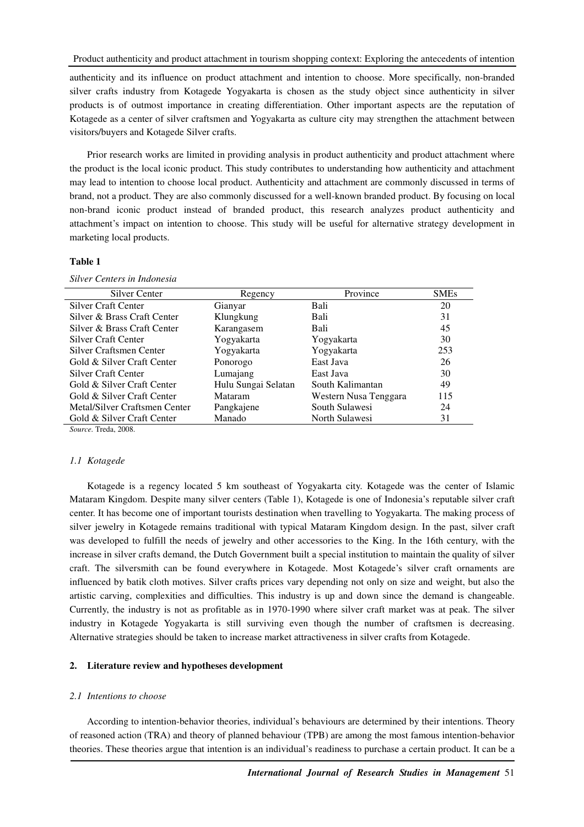authenticity and its influence on product attachment and intention to choose. More specifically, non-branded silver crafts industry from Kotagede Yogyakarta is chosen as the study object since authenticity in silver products is of outmost importance in creating differentiation. Other important aspects are the reputation of Kotagede as a center of silver craftsmen and Yogyakarta as culture city may strengthen the attachment between visitors/buyers and Kotagede Silver crafts.

Prior research works are limited in providing analysis in product authenticity and product attachment where the product is the local iconic product. This study contributes to understanding how authenticity and attachment may lead to intention to choose local product. Authenticity and attachment are commonly discussed in terms of brand, not a product. They are also commonly discussed for a well-known branded product. By focusing on local non-brand iconic product instead of branded product, this research analyzes product authenticity and attachment's impact on intention to choose. This study will be useful for alternative strategy development in marketing local products.

#### **Table 1**

| <b>Silver Center</b>                          | Regency             | Province              | <b>SMEs</b> |
|-----------------------------------------------|---------------------|-----------------------|-------------|
| Silver Craft Center                           | Gianyar             | Bali                  | 20          |
| Silver & Brass Craft Center                   | Klungkung           | Bali                  | 31          |
| Silver & Brass Craft Center                   | Karangasem          | Bali                  | 45          |
| Silver Craft Center                           | Yogyakarta          | Yogyakarta            | 30          |
| Silver Craftsmen Center                       | Yogyakarta          | Yogyakarta            | 253         |
| Gold & Silver Craft Center                    | Ponorogo            | East Java             | 26          |
| Silver Craft Center                           | Lumajang            | East Java             | 30          |
| Gold & Silver Craft Center                    | Hulu Sungai Selatan | South Kalimantan      | 49          |
| Gold & Silver Craft Center                    | Mataram             | Western Nusa Tenggara | 115         |
| Metal/Silver Craftsmen Center                 | Pangkajene          | South Sulawesi        | 24          |
| Gold & Silver Craft Center                    | Manado              | North Sulawesi        | 31          |
| $C_{\text{current}}$ T <sub>rade</sub> $2000$ |                     |                       |             |

*Silver Centers in Indonesia* 

*Source.* Treda, 2008.

#### *1.1 Kotagede*

Kotagede is a regency located 5 km southeast of Yogyakarta city. Kotagede was the center of Islamic Mataram Kingdom. Despite many silver centers (Table 1), Kotagede is one of Indonesia's reputable silver craft center. It has become one of important tourists destination when travelling to Yogyakarta. The making process of silver jewelry in Kotagede remains traditional with typical Mataram Kingdom design. In the past, silver craft was developed to fulfill the needs of jewelry and other accessories to the King. In the 16th century, with the increase in silver crafts demand, the Dutch Government built a special institution to maintain the quality of silver craft. The silversmith can be found everywhere in Kotagede. Most Kotagede's silver craft ornaments are influenced by batik cloth motives. Silver crafts prices vary depending not only on size and weight, but also the artistic carving, complexities and difficulties. This industry is up and down since the demand is changeable. Currently, the industry is not as profitable as in 1970-1990 where silver craft market was at peak. The silver industry in Kotagede Yogyakarta is still surviving even though the number of craftsmen is decreasing. Alternative strategies should be taken to increase market attractiveness in silver crafts from Kotagede.

#### **2. Literature review and hypotheses development**

#### *2.1 Intentions to choose*

According to intention-behavior theories, individual's behaviours are determined by their intentions. Theory of reasoned action (TRA) and theory of planned behaviour (TPB) are among the most famous intention-behavior theories. These theories argue that intention is an individual's readiness to purchase a certain product. It can be a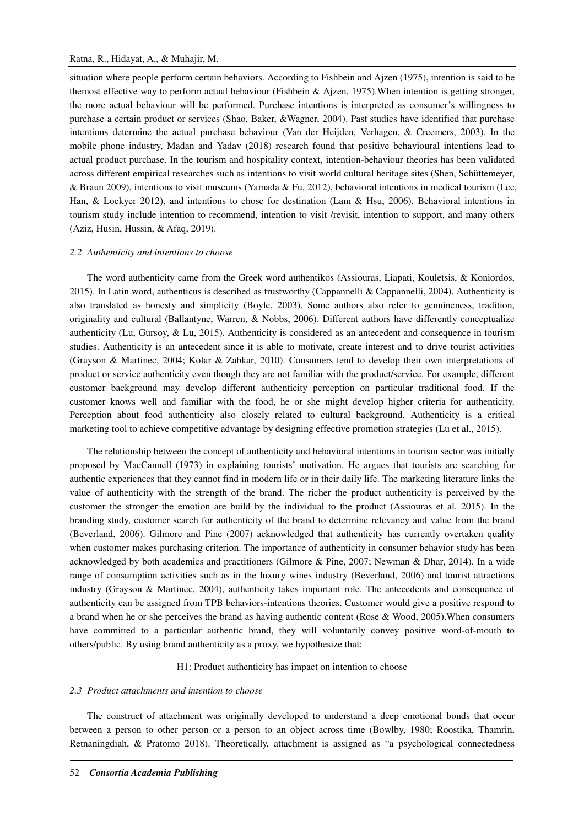#### Ratna, R., Hidayat, A., & Muhajir, M.

situation where people perform certain behaviors. According to Fishbein and Ajzen (1975), intention is said to be themost effective way to perform actual behaviour (Fishbein & Ajzen, 1975).When intention is getting stronger, the more actual behaviour will be performed. Purchase intentions is interpreted as consumer's willingness to purchase a certain product or services (Shao, Baker, &Wagner, 2004). Past studies have identified that purchase intentions determine the actual purchase behaviour (Van der Heijden, Verhagen, & Creemers, 2003). In the mobile phone industry, Madan and Yadav (2018) research found that positive behavioural intentions lead to actual product purchase. In the tourism and hospitality context, intention-behaviour theories has been validated across different empirical researches such as intentions to visit world cultural heritage sites (Shen, Schüttemeyer, & Braun 2009), intentions to visit museums (Yamada & Fu, 2012), behavioral intentions in medical tourism (Lee, Han, & Lockyer 2012), and intentions to chose for destination (Lam & Hsu, 2006). Behavioral intentions in tourism study include intention to recommend, intention to visit /revisit, intention to support, and many others (Aziz, Husin, Hussin, & Afaq, 2019).

#### *2.2 Authenticity and intentions to choose*

The word authenticity came from the Greek word authentikos (Assiouras, Liapati, Kouletsis, & Koniordos, 2015). In Latin word, authenticus is described as trustworthy (Cappannelli & Cappannelli, 2004). Authenticity is also translated as honesty and simplicity (Boyle, 2003). Some authors also refer to genuineness, tradition, originality and cultural (Ballantyne, Warren, & Nobbs, 2006). Different authors have differently conceptualize authenticity (Lu, Gursoy, & Lu, 2015). Authenticity is considered as an antecedent and consequence in tourism studies. Authenticity is an antecedent since it is able to motivate, create interest and to drive tourist activities (Grayson & Martinec, 2004; Kolar & Zabkar, 2010). Consumers tend to develop their own interpretations of product or service authenticity even though they are not familiar with the product/service. For example, different customer background may develop different authenticity perception on particular traditional food. If the customer knows well and familiar with the food, he or she might develop higher criteria for authenticity. Perception about food authenticity also closely related to cultural background. Authenticity is a critical marketing tool to achieve competitive advantage by designing effective promotion strategies (Lu et al., 2015).

The relationship between the concept of authenticity and behavioral intentions in tourism sector was initially proposed by MacCannell (1973) in explaining tourists' motivation. He argues that tourists are searching for authentic experiences that they cannot find in modern life or in their daily life. The marketing literature links the value of authenticity with the strength of the brand. The richer the product authenticity is perceived by the customer the stronger the emotion are build by the individual to the product (Assiouras et al. 2015). In the branding study, customer search for authenticity of the brand to determine relevancy and value from the brand (Beverland, 2006). Gilmore and Pine (2007) acknowledged that authenticity has currently overtaken quality when customer makes purchasing criterion. The importance of authenticity in consumer behavior study has been acknowledged by both academics and practitioners (Gilmore & Pine, 2007; Newman & Dhar, 2014). In a wide range of consumption activities such as in the luxury wines industry (Beverland, 2006) and tourist attractions industry (Grayson & Martinec, 2004), authenticity takes important role. The antecedents and consequence of authenticity can be assigned from TPB behaviors-intentions theories. Customer would give a positive respond to a brand when he or she perceives the brand as having authentic content (Rose & Wood, 2005).When consumers have committed to a particular authentic brand, they will voluntarily convey positive word-of-mouth to others/public. By using brand authenticity as a proxy, we hypothesize that:

#### H1: Product authenticity has impact on intention to choose

## *2.3 Product attachments and intention to choose*

The construct of attachment was originally developed to understand a deep emotional bonds that occur between a person to other person or a person to an object across time (Bowlby, 1980; Roostika, Thamrin, Retnaningdiah, & Pratomo 2018). Theoretically, attachment is assigned as "a psychological connectedness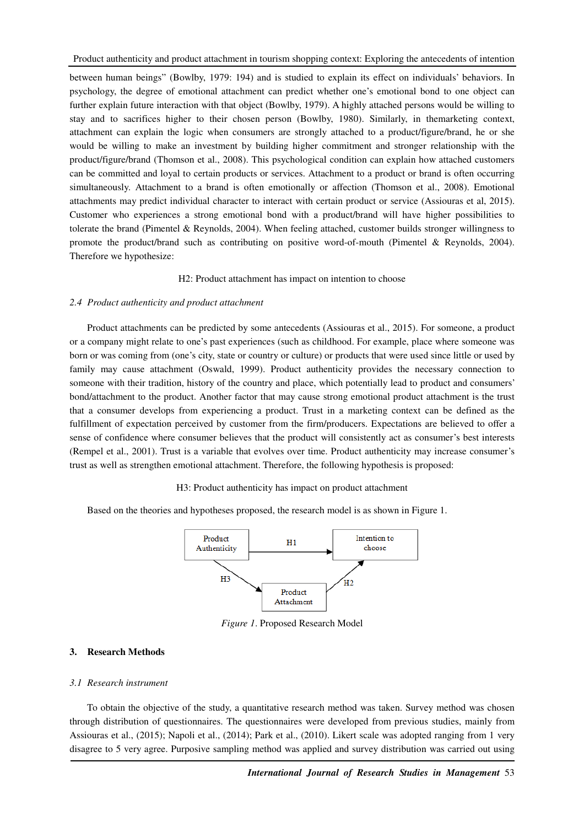between human beings" (Bowlby, 1979: 194) and is studied to explain its effect on individuals' behaviors. In psychology, the degree of emotional attachment can predict whether one's emotional bond to one object can further explain future interaction with that object (Bowlby, 1979). A highly attached persons would be willing to stay and to sacrifices higher to their chosen person (Bowlby, 1980). Similarly, in themarketing context, attachment can explain the logic when consumers are strongly attached to a product/figure/brand, he or she would be willing to make an investment by building higher commitment and stronger relationship with the product/figure/brand (Thomson et al., 2008). This psychological condition can explain how attached customers can be committed and loyal to certain products or services. Attachment to a product or brand is often occurring simultaneously. Attachment to a brand is often emotionally or affection (Thomson et al., 2008). Emotional attachments may predict individual character to interact with certain product or service (Assiouras et al, 2015). Customer who experiences a strong emotional bond with a product/brand will have higher possibilities to tolerate the brand (Pimentel & Reynolds, 2004). When feeling attached, customer builds stronger willingness to promote the product/brand such as contributing on positive word-of-mouth (Pimentel & Reynolds, 2004). Therefore we hypothesize:

#### H2: Product attachment has impact on intention to choose

#### *2.4 Product authenticity and product attachment*

Product attachments can be predicted by some antecedents (Assiouras et al., 2015). For someone, a product or a company might relate to one's past experiences (such as childhood. For example, place where someone was born or was coming from (one's city, state or country or culture) or products that were used since little or used by family may cause attachment (Oswald, 1999). Product authenticity provides the necessary connection to someone with their tradition, history of the country and place, which potentially lead to product and consumers' bond/attachment to the product. Another factor that may cause strong emotional product attachment is the trust that a consumer develops from experiencing a product. Trust in a marketing context can be defined as the fulfillment of expectation perceived by customer from the firm/producers. Expectations are believed to offer a sense of confidence where consumer believes that the product will consistently act as consumer's best interests (Rempel et al., 2001). Trust is a variable that evolves over time. Product authenticity may increase consumer's trust as well as strengthen emotional attachment. Therefore, the following hypothesis is proposed:

## H3: Product authenticity has impact on product attachment

Based on the theories and hypotheses proposed, the research model is as shown in Figure 1.



*Figure 1*. Proposed Research Model

## **3. Research Methods**

#### *3.1 Research instrument*

To obtain the objective of the study, a quantitative research method was taken. Survey method was chosen through distribution of questionnaires. The questionnaires were developed from previous studies, mainly from Assiouras et al., (2015); Napoli et al., (2014); Park et al., (2010). Likert scale was adopted ranging from 1 very disagree to 5 very agree. Purposive sampling method was applied and survey distribution was carried out using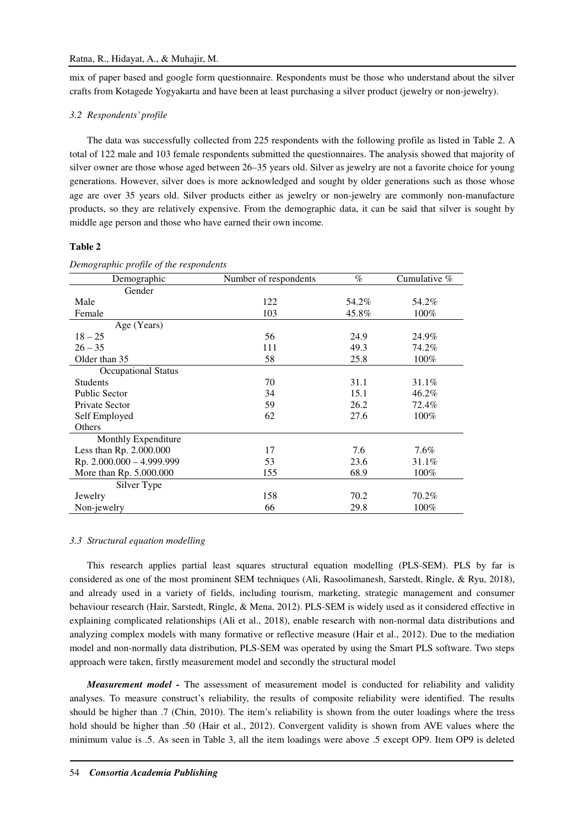mix of paper based and google form questionnaire. Respondents must be those who understand about the silver crafts from Kotagede Yogyakarta and have been at least purchasing a silver product (jewelry or non-jewelry).

## *3.2 Respondents' profile*

The data was successfully collected from 225 respondents with the following profile as listed in Table 2. A total of 122 male and 103 female respondents submitted the questionnaires. The analysis showed that majority of silver owner are those whose aged between 26–35 years old. Silver as jewelry are not a favorite choice for young generations. However, silver does is more acknowledged and sought by older generations such as those whose age are over 35 years old. Silver products either as jewelry or non-jewelry are commonly non-manufacture products, so they are relatively expensive. From the demographic data, it can be said that silver is sought by middle age person and those who have earned their own income.

## **Table 2**

| Demographic                | Number of respondents |       | Cumulative $%$ |
|----------------------------|-----------------------|-------|----------------|
| Gender                     |                       |       |                |
| Male                       | 122                   | 54.2% | 54.2%          |
| Female                     | 103                   | 45.8% | 100%           |
| Age (Years)                |                       |       |                |
| $18 - 25$                  | 56                    | 24.9  | 24.9%          |
| $26 - 35$                  | 111                   | 49.3  | 74.2%          |
| Older than 35              | 58                    | 25.8  | 100%           |
| <b>Occupational Status</b> |                       |       |                |
| <b>Students</b>            | 70                    | 31.1  | 31.1%          |
| <b>Public Sector</b>       | 34                    | 15.1  | 46.2%          |
| Private Sector             | 59                    | 26.2  | 72.4%          |
| Self Employed              | 62                    | 27.6  | 100%           |
| Others                     |                       |       |                |
| Monthly Expenditure        |                       |       |                |
| Less than Rp. 2.000.000    | 17                    | 7.6   | $7.6\%$        |
| Rp. 2.000.000 - 4.999.999  | 53                    | 23.6  | 31.1%          |
| More than Rp. 5.000.000    | 155                   | 68.9  | 100%           |
| Silver Type                |                       |       |                |
| Jewelry                    | 158                   | 70.2  | 70.2%          |
| Non-jewelry                | 66                    | 29.8  | 100%           |

#### *Demographic profile of the respondents*

#### *3.3 Structural equation modelling*

This research applies partial least squares structural equation modelling (PLS-SEM). PLS by far is considered as one of the most prominent SEM techniques (Ali, Rasoolimanesh, Sarstedt, Ringle, & Ryu, 2018), and already used in a variety of fields, including tourism, marketing, strategic management and consumer behaviour research (Hair, Sarstedt, Ringle, & Mena, 2012). PLS-SEM is widely used as it considered effective in explaining complicated relationships (Ali et al., 2018), enable research with non-normal data distributions and analyzing complex models with many formative or reflective measure (Hair et al., 2012). Due to the mediation model and non-normally data distribution, PLS-SEM was operated by using the Smart PLS software. Two steps approach were taken, firstly measurement model and secondly the structural model

*Measurement model -* The assessment of measurement model is conducted for reliability and validity analyses. To measure construct's reliability, the results of composite reliability were identified. The results should be higher than .7 (Chin, 2010). The item's reliability is shown from the outer loadings where the tress hold should be higher than .50 (Hair et al., 2012). Convergent validity is shown from AVE values where the minimum value is .5. As seen in Table 3, all the item loadings were above .5 except OP9. Item OP9 is deleted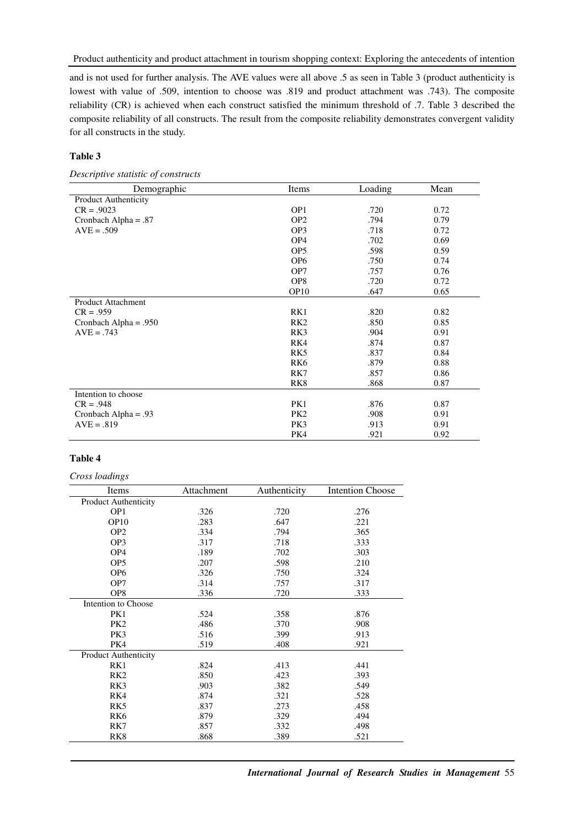and is not used for further analysis. The AVE values were all above .5 as seen in Table 3 (product authenticity is lowest with value of .509, intention to choose was .819 and product attachment was .743). The composite reliability (CR) is achieved when each construct satisfied the minimum threshold of .7. Table 3 described the composite reliability of all constructs. The result from the composite reliability demonstrates convergent validity for all constructs in the study.

## **Table 3**

*Descriptive statistic of constructs* 

| Demographic                 | Items            | Loading | Mean |
|-----------------------------|------------------|---------|------|
| <b>Product Authenticity</b> |                  |         |      |
| $CR = .9023$                | OP <sub>1</sub>  | .720    | 0.72 |
| Cronbach Alpha = $.87$      | OP <sub>2</sub>  | .794    | 0.79 |
| $AVE = .509$                | OP <sub>3</sub>  | .718    | 0.72 |
|                             | OP <sub>4</sub>  | .702    | 0.69 |
|                             | OP <sub>5</sub>  | .598    | 0.59 |
|                             | OP <sub>6</sub>  | .750    | 0.74 |
|                             | OP7              | .757    | 0.76 |
|                             | OP <sub>8</sub>  | .720    | 0.72 |
|                             | OP <sub>10</sub> | .647    | 0.65 |
| <b>Product Attachment</b>   |                  |         |      |
| $CR = .959$                 | RK1              | .820    | 0.82 |
| Cronbach Alpha = $.950$     | RK <sub>2</sub>  | .850    | 0.85 |
| $AVE = .743$                | RK3              | .904    | 0.91 |
|                             | RK4              | .874    | 0.87 |
|                             | RK5              | .837    | 0.84 |
|                             | RK <sub>6</sub>  | .879    | 0.88 |
|                             | RK7              | .857    | 0.86 |
|                             | RK <sub>8</sub>  | .868    | 0.87 |
| Intention to choose         |                  |         |      |
| $CR = .948$                 | PK1              | .876    | 0.87 |
| Cronbach Alpha = $.93$      | PK <sub>2</sub>  | .908    | 0.91 |
| $AVE = .819$                | PK3              | .913    | 0.91 |
|                             | PK4              | .921    | 0.92 |

## **Table 4**

*Cross loadings* 

| Items                       | Attachment | Authenticity | <b>Intention Choose</b> |
|-----------------------------|------------|--------------|-------------------------|
| <b>Product Authenticity</b> |            |              |                         |
| OP <sub>1</sub>             | .326       | .720         | .276                    |
| OP10                        | .283       | .647         | .221                    |
| OP <sub>2</sub>             | .334       | .794         | .365                    |
| OP <sub>3</sub>             | .317       | .718         | .333                    |
| OP <sub>4</sub>             | .189       | .702         | .303                    |
| OP <sub>5</sub>             | .207       | .598         | .210                    |
| OP <sub>6</sub>             | .326       | .750         | .324                    |
| OP7                         | .314       | .757         | .317                    |
| OP8                         | .336       | .720         | .333                    |
| Intention to Choose         |            |              |                         |
| PK1                         | .524       | .358         | .876                    |
| PK <sub>2</sub>             | .486       | .370         | .908                    |
| PK3                         | .516       | .399         | .913                    |
| PK4                         | .519       | .408         | .921                    |
| <b>Product Authenticity</b> |            |              |                         |
| RK1                         | .824       | .413         | .441                    |
| RK <sub>2</sub>             | .850       | .423         | .393                    |
| RK3                         | .903       | .382         | .549                    |
| RK4                         | .874       | .321         | .528                    |
| RK5                         | .837       | .273         | .458                    |
| RK <sub>6</sub>             | .879       | .329         | .494                    |
| RK7                         | .857       | .332         | .498                    |
| RK <sub>8</sub>             | .868       | .389         | .521                    |

*International Journal of Research Studies in Management* 55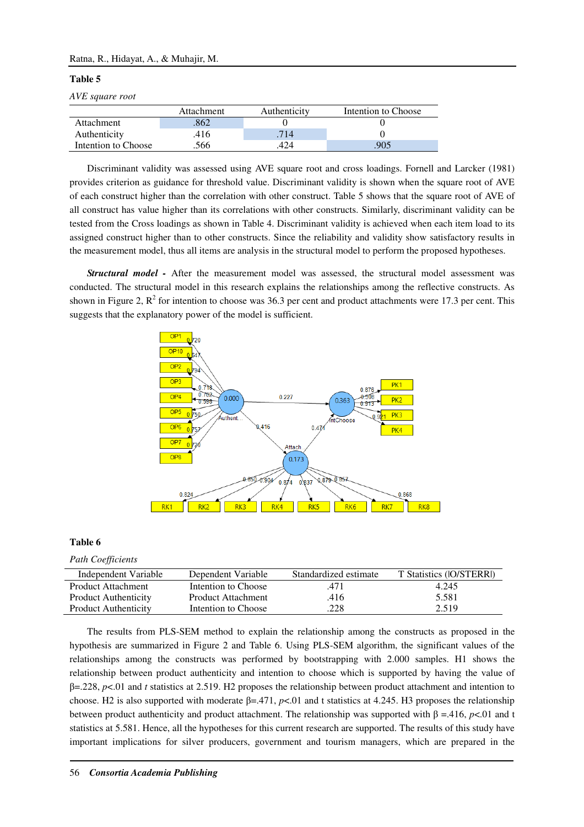## Ratna, R., Hidayat, A., & Muhajir, M.

#### **Table 5**

*AVE square root* 

|                     | Attachment | Authenticity | Intention to Choose |
|---------------------|------------|--------------|---------------------|
| Attachment          | .862       |              |                     |
| Authenticity        | .416       | 714          |                     |
| Intention to Choose | 566        | 424          | 905                 |

Discriminant validity was assessed using AVE square root and cross loadings. Fornell and Larcker (1981) provides criterion as guidance for threshold value. Discriminant validity is shown when the square root of AVE of each construct higher than the correlation with other construct. Table 5 shows that the square root of AVE of all construct has value higher than its correlations with other constructs. Similarly, discriminant validity can be tested from the Cross loadings as shown in Table 4. Discriminant validity is achieved when each item load to its assigned construct higher than to other constructs. Since the reliability and validity show satisfactory results in the measurement model, thus all items are analysis in the structural model to perform the proposed hypotheses.

*Structural model -* After the measurement model was assessed, the structural model assessment was conducted. The structural model in this research explains the relationships among the reflective constructs. As shown in Figure 2,  $R^2$  for intention to choose was 36.3 per cent and product attachments were 17.3 per cent. This suggests that the explanatory power of the model is sufficient.



#### **Table 6**

*Path Coefficients* 

| Independent Variable        | Dependent Variable        | Standardized estimate | T Statistics (IO/STERRI) |
|-----------------------------|---------------------------|-----------------------|--------------------------|
| <b>Product Attachment</b>   | Intention to Choose       | .471                  | 4.245                    |
| <b>Product Authenticity</b> | <b>Product Attachment</b> | .416                  | 5.581                    |
| <b>Product Authenticity</b> | Intention to Choose       | .228                  | 2.519                    |

The results from PLS-SEM method to explain the relationship among the constructs as proposed in the hypothesis are summarized in Figure 2 and Table 6. Using PLS-SEM algorithm, the significant values of the relationships among the constructs was performed by bootstrapping with 2.000 samples. H1 shows the relationship between product authenticity and intention to choose which is supported by having the value of β=.228, *p*<.01 and *t* statistics at 2.519. H2 proposes the relationship between product attachment and intention to choose. H2 is also supported with moderate β=.471, *p*<.01 and t statistics at 4.245. H3 proposes the relationship between product authenticity and product attachment. The relationship was supported with β =.416, *p*<.01 and t statistics at 5.581. Hence, all the hypotheses for this current research are supported. The results of this study have important implications for silver producers, government and tourism managers, which are prepared in the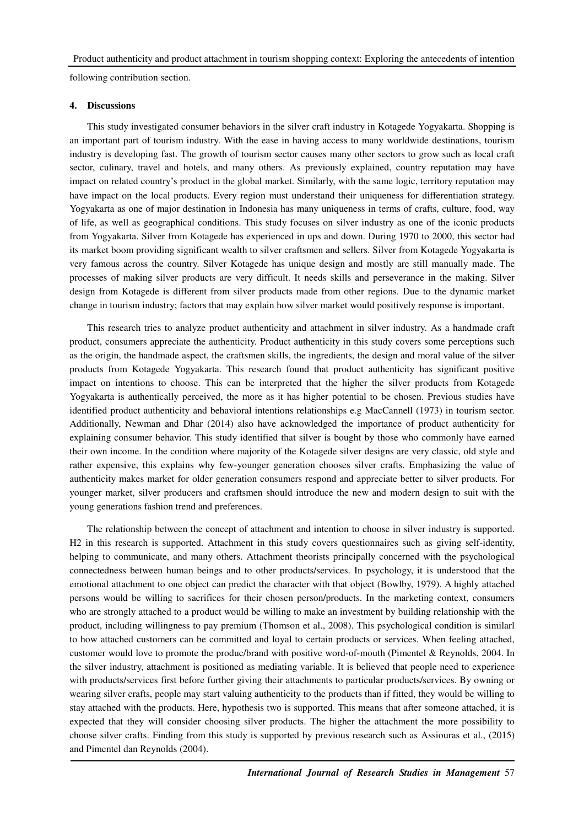following contribution section.

#### **4. Discussions**

This study investigated consumer behaviors in the silver craft industry in Kotagede Yogyakarta. Shopping is an important part of tourism industry. With the ease in having access to many worldwide destinations, tourism industry is developing fast. The growth of tourism sector causes many other sectors to grow such as local craft sector, culinary, travel and hotels, and many others. As previously explained, country reputation may have impact on related country's product in the global market. Similarly, with the same logic, territory reputation may have impact on the local products. Every region must understand their uniqueness for differentiation strategy. Yogyakarta as one of major destination in Indonesia has many uniqueness in terms of crafts, culture, food, way of life, as well as geographical conditions. This study focuses on silver industry as one of the iconic products from Yogyakarta. Silver from Kotagede has experienced in ups and down. During 1970 to 2000, this sector had its market boom providing significant wealth to silver craftsmen and sellers. Silver from Kotagede Yogyakarta is very famous across the country. Silver Kotagede has unique design and mostly are still manually made. The processes of making silver products are very difficult. It needs skills and perseverance in the making. Silver design from Kotagede is different from silver products made from other regions. Due to the dynamic market change in tourism industry; factors that may explain how silver market would positively response is important.

This research tries to analyze product authenticity and attachment in silver industry. As a handmade craft product, consumers appreciate the authenticity. Product authenticity in this study covers some perceptions such as the origin, the handmade aspect, the craftsmen skills, the ingredients, the design and moral value of the silver products from Kotagede Yogyakarta. This research found that product authenticity has significant positive impact on intentions to choose. This can be interpreted that the higher the silver products from Kotagede Yogyakarta is authentically perceived, the more as it has higher potential to be chosen. Previous studies have identified product authenticity and behavioral intentions relationships e.g MacCannell (1973) in tourism sector. Additionally, Newman and Dhar (2014) also have acknowledged the importance of product authenticity for explaining consumer behavior. This study identified that silver is bought by those who commonly have earned their own income. In the condition where majority of the Kotagede silver designs are very classic, old style and rather expensive, this explains why few-younger generation chooses silver crafts. Emphasizing the value of authenticity makes market for older generation consumers respond and appreciate better to silver products. For younger market, silver producers and craftsmen should introduce the new and modern design to suit with the young generations fashion trend and preferences.

The relationship between the concept of attachment and intention to choose in silver industry is supported. H2 in this research is supported. Attachment in this study covers questionnaires such as giving self-identity, helping to communicate, and many others. Attachment theorists principally concerned with the psychological connectedness between human beings and to other products/services. In psychology, it is understood that the emotional attachment to one object can predict the character with that object (Bowlby, 1979). A highly attached persons would be willing to sacrifices for their chosen person/products. In the marketing context, consumers who are strongly attached to a product would be willing to make an investment by building relationship with the product, including willingness to pay premium (Thomson et al., 2008). This psychological condition is similarl to how attached customers can be committed and loyal to certain products or services. When feeling attached, customer would love to promote the produc/brand with positive word-of-mouth (Pimentel & Reynolds, 2004. In the silver industry, attachment is positioned as mediating variable. It is believed that people need to experience with products/services first before further giving their attachments to particular products/services. By owning or wearing silver crafts, people may start valuing authenticity to the products than if fitted, they would be willing to stay attached with the products. Here, hypothesis two is supported. This means that after someone attached, it is expected that they will consider choosing silver products. The higher the attachment the more possibility to choose silver crafts. Finding from this study is supported by previous research such as Assiouras et al., (2015) and Pimentel dan Reynolds (2004).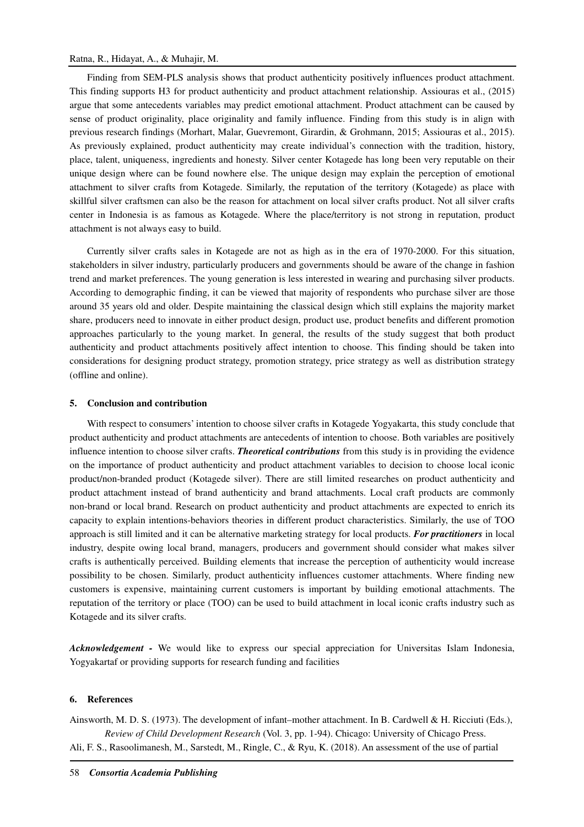## Ratna, R., Hidayat, A., & Muhajir, M.

Finding from SEM-PLS analysis shows that product authenticity positively influences product attachment. This finding supports H3 for product authenticity and product attachment relationship. Assiouras et al., (2015) argue that some antecedents variables may predict emotional attachment. Product attachment can be caused by sense of product originality, place originality and family influence. Finding from this study is in align with previous research findings (Morhart, Malar, Guevremont, Girardin, & Grohmann, 2015; Assiouras et al., 2015). As previously explained, product authenticity may create individual's connection with the tradition, history, place, talent, uniqueness, ingredients and honesty. Silver center Kotagede has long been very reputable on their unique design where can be found nowhere else. The unique design may explain the perception of emotional attachment to silver crafts from Kotagede. Similarly, the reputation of the territory (Kotagede) as place with skillful silver craftsmen can also be the reason for attachment on local silver crafts product. Not all silver crafts center in Indonesia is as famous as Kotagede. Where the place/territory is not strong in reputation, product attachment is not always easy to build.

Currently silver crafts sales in Kotagede are not as high as in the era of 1970-2000. For this situation, stakeholders in silver industry, particularly producers and governments should be aware of the change in fashion trend and market preferences. The young generation is less interested in wearing and purchasing silver products. According to demographic finding, it can be viewed that majority of respondents who purchase silver are those around 35 years old and older. Despite maintaining the classical design which still explains the majority market share, producers need to innovate in either product design, product use, product benefits and different promotion approaches particularly to the young market. In general, the results of the study suggest that both product authenticity and product attachments positively affect intention to choose. This finding should be taken into considerations for designing product strategy, promotion strategy, price strategy as well as distribution strategy (offline and online).

## **5. Conclusion and contribution**

With respect to consumers' intention to choose silver crafts in Kotagede Yogyakarta, this study conclude that product authenticity and product attachments are antecedents of intention to choose. Both variables are positively influence intention to choose silver crafts. *Theoretical contributions* from this study is in providing the evidence on the importance of product authenticity and product attachment variables to decision to choose local iconic product/non-branded product (Kotagede silver). There are still limited researches on product authenticity and product attachment instead of brand authenticity and brand attachments. Local craft products are commonly non-brand or local brand. Research on product authenticity and product attachments are expected to enrich its capacity to explain intentions-behaviors theories in different product characteristics. Similarly, the use of TOO approach is still limited and it can be alternative marketing strategy for local products. *For practitioners* in local industry, despite owing local brand, managers, producers and government should consider what makes silver crafts is authentically perceived. Building elements that increase the perception of authenticity would increase possibility to be chosen. Similarly, product authenticity influences customer attachments. Where finding new customers is expensive, maintaining current customers is important by building emotional attachments. The reputation of the territory or place (TOO) can be used to build attachment in local iconic crafts industry such as Kotagede and its silver crafts.

*Acknowledgement -* We would like to express our special appreciation for Universitas Islam Indonesia, Yogyakartaf or providing supports for research funding and facilities

#### **6. References**

Ainsworth, M. D. S. (1973). The development of infant–mother attachment. In B. Cardwell & H. Ricciuti (Eds.), *Review of Child Development Research* (Vol. 3, pp. 1-94). Chicago: University of Chicago Press. Ali, F. S., Rasoolimanesh, M., Sarstedt, M., Ringle, C., & Ryu, K. (2018). An assessment of the use of partial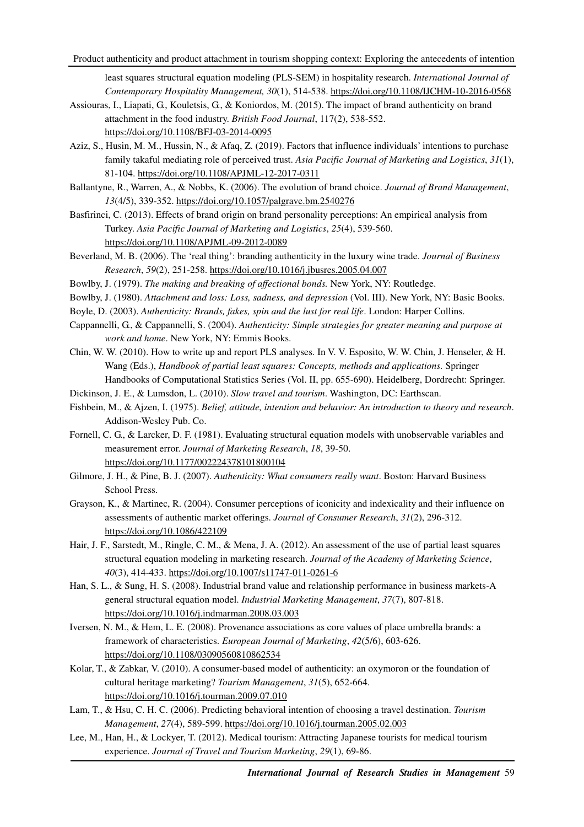least squares structural equation modeling (PLS-SEM) in hospitality research. *International Journal of Contemporary Hospitality Management, 30*(1), 514-538. https://doi.org/10.1108/IJCHM-10-2016-0568

- Assiouras, I., Liapati, G., Kouletsis, G., & Koniordos, M. (2015). The impact of brand authenticity on brand attachment in the food industry. *British Food Journal*, 117(2), 538-552. https://doi.org/10.1108/BFJ-03-2014-0095
- Aziz, S., Husin, M. M., Hussin, N., & Afaq, Z. (2019). Factors that influence individuals' intentions to purchase family takaful mediating role of perceived trust. *Asia Pacific Journal of Marketing and Logistics*, *31*(1), 81-104. https://doi.org/10.1108/APJML-12-2017-0311
- Ballantyne, R., Warren, A., & Nobbs, K. (2006). The evolution of brand choice. *Journal of Brand Management*, *13*(4/5), 339-352. https://doi.org/10.1057/palgrave.bm.2540276
- Basfirinci, C. (2013). Effects of brand origin on brand personality perceptions: An empirical analysis from Turkey. *Asia Pacific Journal of Marketing and Logistics*, *25*(4), 539-560. https://doi.org/10.1108/APJML-09-2012-0089
- Beverland, M. B. (2006). The 'real thing': branding authenticity in the luxury wine trade. *Journal of Business Research*, *59*(2), 251-258. https://doi.org/10.1016/j.jbusres.2005.04.007
- Bowlby, J. (1979). *The making and breaking of affectional bonds.* New York, NY: Routledge.
- Bowlby, J. (1980). *Attachment and loss: Loss, sadness, and depression* (Vol. III). New York, NY: Basic Books.
- Boyle, D. (2003). *Authenticity: Brands, fakes, spin and the lust for real life*. London: Harper Collins.
- Cappannelli, G., & Cappannelli, S. (2004). *Authenticity: Simple strategies for greater meaning and purpose at work and home*. New York, NY: Emmis Books.
- Chin, W. W. (2010). How to write up and report PLS analyses. In V. V. Esposito, W. W. Chin, J. Henseler, & H. Wang (Eds.), *Handbook of partial least squares: Concepts, methods and applications.* Springer Handbooks of Computational Statistics Series (Vol. II, pp. 655-690). Heidelberg, Dordrecht: Springer.
- Dickinson, J. E., & Lumsdon, L. (2010). *Slow travel and tourism*. Washington, DC: Earthscan.
- Fishbein, M., & Ajzen, I. (1975). *Belief, attitude, intention and behavior: An introduction to theory and research*. Addison-Wesley Pub. Co.
- Fornell, C. G., & Larcker, D. F. (1981). Evaluating structural equation models with unobservable variables and measurement error. *Journal of Marketing Research*, *18*, 39-50. https://doi.org/10.1177/002224378101800104
- Gilmore, J. H., & Pine, B. J. (2007). *Authenticity: What consumers really want*. Boston: Harvard Business School Press.
- Grayson, K., & Martinec, R. (2004). Consumer perceptions of iconicity and indexicality and their influence on assessments of authentic market offerings. *Journal of Consumer Research*, *31*(2), 296-312. https://doi.org/10.1086/422109
- Hair, J. F., Sarstedt, M., Ringle, C. M., & Mena, J. A. (2012). An assessment of the use of partial least squares structural equation modeling in marketing research. *Journal of the Academy of Marketing Science*, *40*(3), 414-433. https://doi.org/10.1007/s11747-011-0261-6
- Han, S. L., & Sung, H. S. (2008). Industrial brand value and relationship performance in business markets-A general structural equation model. *Industrial Marketing Management*, *37*(7), 807-818. https://doi.org/10.1016/j.indmarman.2008.03.003
- Iversen, N. M., & Hem, L. E. (2008). Provenance associations as core values of place umbrella brands: a framework of characteristics. *European Journal of Marketing*, *42*(5/6), 603-626. https://doi.org/10.1108/03090560810862534
- Kolar, T., & Zabkar, V. (2010). A consumer-based model of authenticity: an oxymoron or the foundation of cultural heritage marketing? *Tourism Management*, *31*(5), 652-664. https://doi.org/10.1016/j.tourman.2009.07.010
- Lam, T., & Hsu, C. H. C. (2006). Predicting behavioral intention of choosing a travel destination. *Tourism Management*, *27*(4), 589-599. https://doi.org/10.1016/j.tourman.2005.02.003
- Lee, M., Han, H., & Lockyer, T. (2012). Medical tourism: Attracting Japanese tourists for medical tourism experience. *Journal of Travel and Tourism Marketing*, *29*(1), 69-86.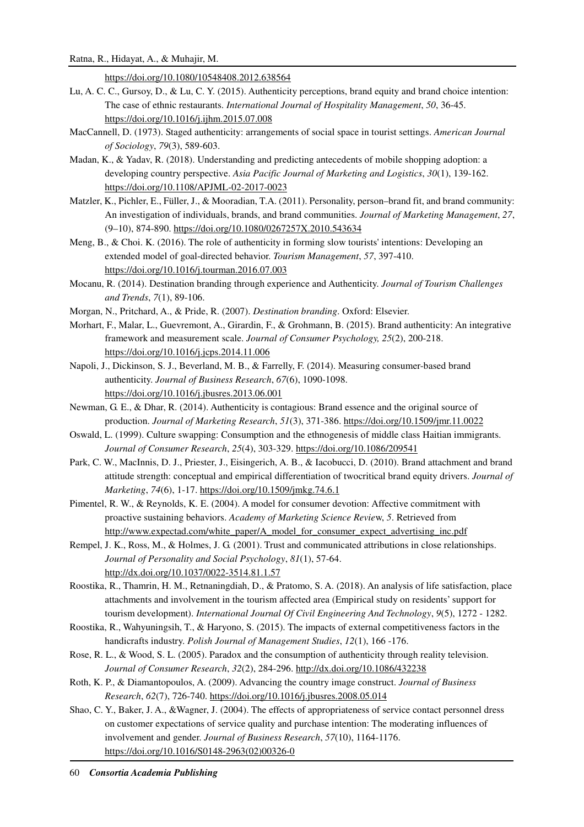https://doi.org/10.1080/10548408.2012.638564

- Lu, A. C. C., Gursoy, D., & Lu, C. Y. (2015). Authenticity perceptions, brand equity and brand choice intention: The case of ethnic restaurants. *International Journal of Hospitality Management*, *50*, 36-45. https://doi.org/10.1016/j.ijhm.2015.07.008
- MacCannell, D. (1973). Staged authenticity: arrangements of social space in tourist settings. *American Journal of Sociology*, *79*(3), 589-603.
- Madan, K., & Yadav, R. (2018). Understanding and predicting antecedents of mobile shopping adoption: a developing country perspective. *Asia Pacific Journal of Marketing and Logistics*, *30*(1), 139-162. https://doi.org/10.1108/APJML-02-2017-0023
- Matzler, K., Pichler, E., Füller, J., & Mooradian, T.A. (2011). Personality, person–brand fit, and brand community: An investigation of individuals, brands, and brand communities. *Journal of Marketing Management*, *27*, (9–10), 874-890. https://doi.org/10.1080/0267257X.2010.543634
- Meng, B., & Choi. K. (2016). The role of authenticity in forming slow tourists' intentions: Developing an extended model of goal-directed behavior. *Tourism Management*, *57*, 397-410. https://doi.org/10.1016/j.tourman.2016.07.003
- Mocanu, R. (2014). Destination branding through experience and Authenticity. *Journal of Tourism Challenges and Trends*, *7*(1), 89-106.
- Morgan, N., Pritchard, A., & Pride, R. (2007). *Destination branding*. Oxford: Elsevier.
- Morhart, F., Malar, L., Guevremont, A., Girardin, F., & Grohmann, B. (2015). Brand authenticity: An integrative framework and measurement scale. *Journal of Consumer Psychology, 25*(2), 200-218. https://doi.org/10.1016/j.jcps.2014.11.006
- Napoli, J., Dickinson, S. J., Beverland, M. B., & Farrelly, F. (2014). Measuring consumer-based brand authenticity. *Journal of Business Research*, *67*(6), 1090-1098. https://doi.org/10.1016/j.jbusres.2013.06.001
- Newman, G. E., & Dhar, R. (2014). Authenticity is contagious: Brand essence and the original source of production. *Journal of Marketing Research*, *51*(3), 371-386. https://doi.org/10.1509/jmr.11.0022
- Oswald, L. (1999). Culture swapping: Consumption and the ethnogenesis of middle class Haitian immigrants. *Journal of Consumer Research*, *25*(4), 303-329. https://doi.org/10.1086/209541
- Park, C. W., MacInnis, D. J., Priester, J., Eisingerich, A. B., & Iacobucci, D. (2010). Brand attachment and brand attitude strength: conceptual and empirical differentiation of twocritical brand equity drivers. *Journal of Marketing*, *74*(6), 1-17. https://doi.org/10.1509/jmkg.74.6.1
- Pimentel, R. W., & Reynolds, K. E. (2004). A model for consumer devotion: Affective commitment with proactive sustaining behaviors. *Academy of Marketing Science Revie*w, *5*. Retrieved from http://www.expectad.com/white\_paper/A\_model\_for\_consumer\_expect\_advertising\_inc.pdf
- Rempel, J. K., Ross, M., & Holmes, J. G. (2001). Trust and communicated attributions in close relationships. *Journal of Personality and Social Psychology*, *81*(1), 57-64. http://dx.doi.org/10.1037/0022-3514.81.1.57
- Roostika, R., Thamrin, H. M., Retnaningdiah, D., & Pratomo, S. A. (2018). An analysis of life satisfaction, place attachments and involvement in the tourism affected area (Empirical study on residents' support for tourism development). *International Journal Of Civil Engineering And Technology*, *9*(5), 1272 - 1282.
- Roostika, R., Wahyuningsih, T., & Haryono, S. (2015). The impacts of external competitiveness factors in the handicrafts industry. *Polish Journal of Management Studies*, *12*(1), 166 -176.
- Rose, R. L., & Wood, S. L. (2005). Paradox and the consumption of authenticity through reality television. *Journal of Consumer Research*, *32*(2), 284-296. http://dx.doi.org/10.1086/432238
- Roth, K. P., & Diamantopoulos, A. (2009). Advancing the country image construct. *Journal of Business Research*, *62*(7), 726-740. https://doi.org/10.1016/j.jbusres.2008.05.014
- Shao, C. Y., Baker, J. A., &Wagner, J. (2004). The effects of appropriateness of service contact personnel dress on customer expectations of service quality and purchase intention: The moderating influences of involvement and gender. *Journal of Business Research*, *57*(10), 1164-1176. https://doi.org/10.1016/S0148-2963(02)00326-0